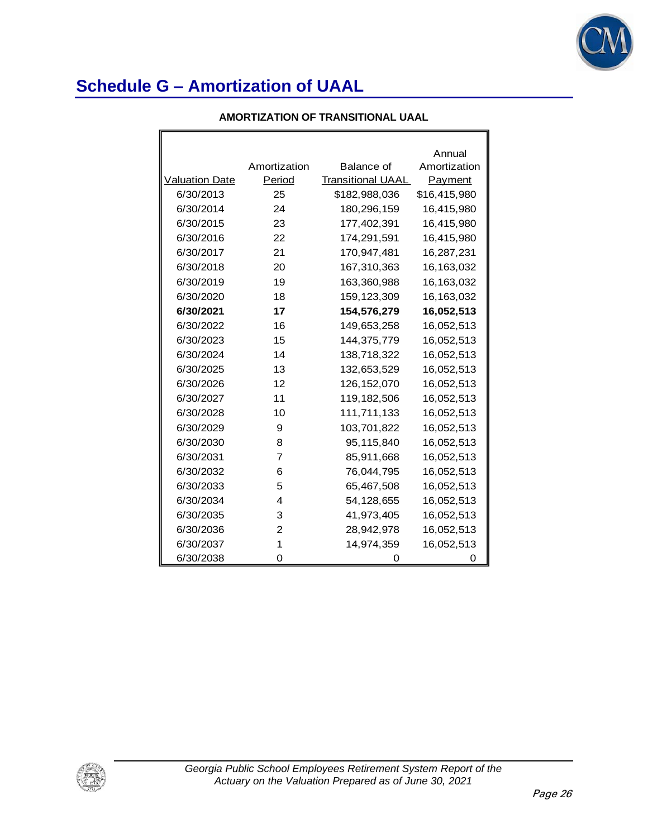F

|                       |              |                          | Annual       |
|-----------------------|--------------|--------------------------|--------------|
|                       | Amortization | Balance of               | Amortization |
| <b>Valuation Date</b> | Period       | <b>Transitional UAAL</b> | Payment      |
| 6/30/2013             | 25           | \$182,988,036            | \$16,415,980 |
| 6/30/2014             | 24           | 180,296,159              | 16,415,980   |
| 6/30/2015             | 23           | 177,402,391              | 16,415,980   |
| 6/30/2016             | 22           | 174,291,591              | 16,415,980   |
| 6/30/2017             | 21           | 170,947,481              | 16,287,231   |
| 6/30/2018             | 20           | 167,310,363              | 16,163,032   |
| 6/30/2019             | 19           | 163,360,988              | 16,163,032   |
| 6/30/2020             | 18           | 159, 123, 309            | 16,163,032   |
| 6/30/2021             | 17           | 154,576,279              | 16,052,513   |
| 6/30/2022             | 16           | 149,653,258              | 16,052,513   |
| 6/30/2023             | 15           | 144,375,779              | 16,052,513   |
| 6/30/2024             | 14           | 138,718,322              | 16,052,513   |
| 6/30/2025             | 13           | 132,653,529              | 16,052,513   |
| 6/30/2026             | 12           | 126, 152, 070            | 16,052,513   |
| 6/30/2027             | 11           | 119,182,506              | 16,052,513   |
| 6/30/2028             | 10           | 111,711,133              | 16,052,513   |
| 6/30/2029             | 9            | 103,701,822              | 16,052,513   |
| 6/30/2030             | 8            | 95,115,840               | 16,052,513   |
| 6/30/2031             | 7            | 85,911,668               | 16,052,513   |
| 6/30/2032             | 6            | 76,044,795               | 16,052,513   |
| 6/30/2033             | 5            | 65,467,508               | 16,052,513   |
| 6/30/2034             | 4            | 54,128,655               | 16,052,513   |
| 6/30/2035             | 3            | 41,973,405               | 16,052,513   |
| 6/30/2036             | 2            | 28,942,978               | 16,052,513   |
| 6/30/2037             | 1            | 14,974,359               | 16,052,513   |
| 6/30/2038             | 0            |                          |              |

#### **AMORTIZATION OF TRANSITIONAL UAAL**

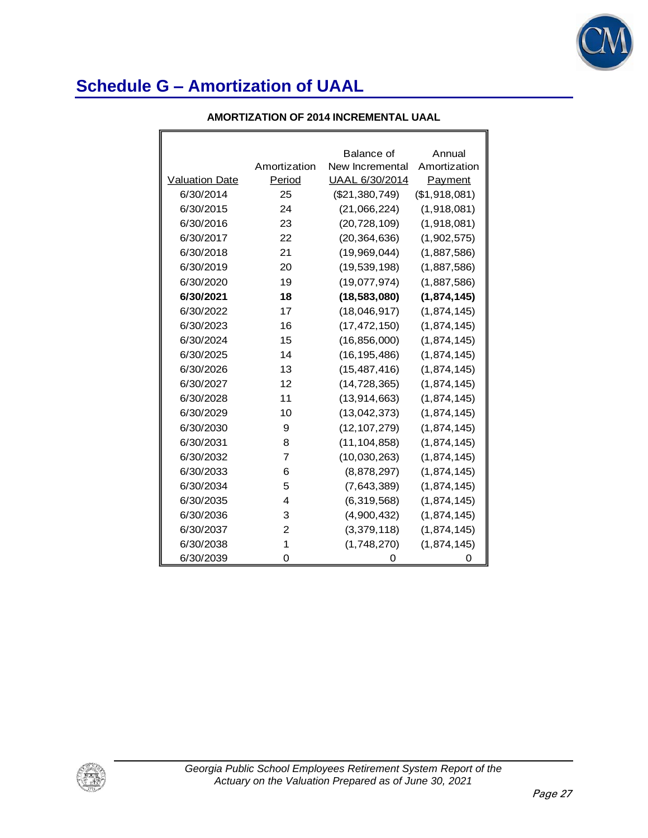

F

| AMORTIZATION OF 2014 INCREMENTAL UAAL |
|---------------------------------------|
|                                       |

|                       |                | Balance of      | Annual        |
|-----------------------|----------------|-----------------|---------------|
|                       | Amortization   | New Incremental | Amortization  |
| <b>Valuation Date</b> | Period         | UAAL 6/30/2014  | Payment       |
| 6/30/2014             | 25             | (\$21,380,749)  | (\$1,918,081) |
| 6/30/2015             | 24             | (21,066,224)    | (1,918,081)   |
| 6/30/2016             | 23             | (20, 728, 109)  | (1,918,081)   |
| 6/30/2017             | 22             | (20, 364, 636)  | (1,902,575)   |
| 6/30/2018             | 21             | (19,969,044)    | (1,887,586)   |
| 6/30/2019             | 20             | (19, 539, 198)  | (1,887,586)   |
| 6/30/2020             | 19             | (19,077,974)    | (1,887,586)   |
| 6/30/2021             | 18             | (18, 583, 080)  | (1,874,145)   |
| 6/30/2022             | 17             | (18,046,917)    | (1,874,145)   |
| 6/30/2023             | 16             | (17, 472, 150)  | (1,874,145)   |
| 6/30/2024             | 15             | (16, 856, 000)  | (1,874,145)   |
| 6/30/2025             | 14             | (16, 195, 486)  | (1,874,145)   |
| 6/30/2026             | 13             | (15, 487, 416)  | (1,874,145)   |
| 6/30/2027             | 12             | (14, 728, 365)  | (1,874,145)   |
| 6/30/2028             | 11             | (13, 914, 663)  | (1,874,145)   |
| 6/30/2029             | 10             | (13,042,373)    | (1,874,145)   |
| 6/30/2030             | 9              | (12, 107, 279)  | (1,874,145)   |
| 6/30/2031             | 8              | (11, 104, 858)  | (1,874,145)   |
| 6/30/2032             | $\overline{7}$ | (10,030,263)    | (1,874,145)   |
| 6/30/2033             | 6              | (8,878,297)     | (1,874,145)   |
| 6/30/2034             | 5              | (7,643,389)     | (1,874,145)   |
| 6/30/2035             | 4              | (6,319,568)     | (1,874,145)   |
| 6/30/2036             | 3              | (4,900,432)     | (1,874,145)   |
| 6/30/2037             | 2              | (3,379,118)     | (1,874,145)   |
| 6/30/2038             | 1              | (1,748,270)     | (1,874,145)   |
| 6/30/2039             | 0              | O               | 0             |

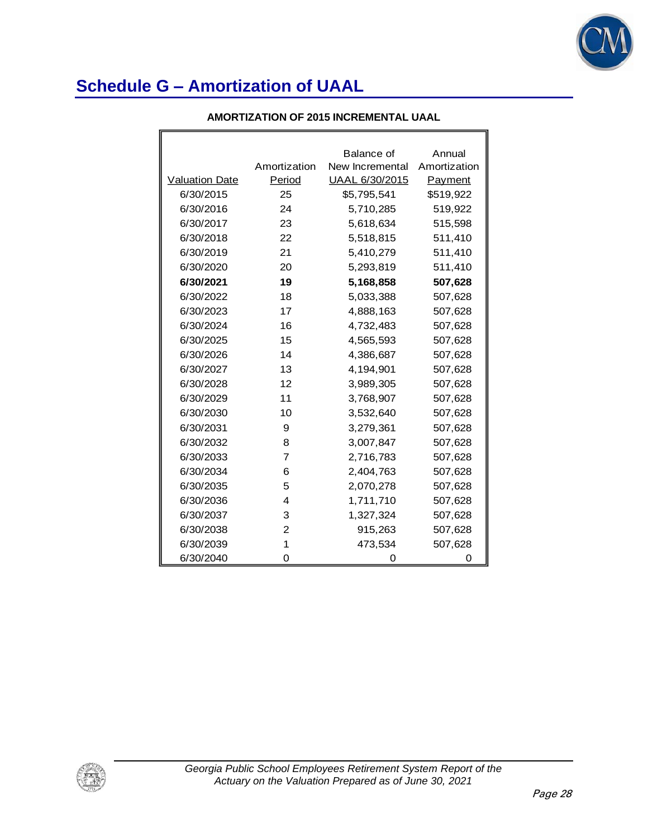

| AMORTIZATION OF 2015 INCREMENTAL UAAL |
|---------------------------------------|
|                                       |

|                       |              | Balance of      | Annual       |
|-----------------------|--------------|-----------------|--------------|
|                       | Amortization | New Incremental | Amortization |
| <b>Valuation Date</b> | Period       | UAAL 6/30/2015  | Payment      |
| 6/30/2015             | 25           | \$5,795,541     | \$519,922    |
| 6/30/2016             | 24           | 5,710,285       | 519,922      |
| 6/30/2017             | 23           | 5,618,634       | 515,598      |
| 6/30/2018             | 22           | 5,518,815       | 511,410      |
| 6/30/2019             | 21           | 5,410,279       | 511,410      |
| 6/30/2020             | 20           | 5,293,819       | 511,410      |
| 6/30/2021             | 19           | 5,168,858       | 507,628      |
| 6/30/2022             | 18           | 5,033,388       | 507,628      |
| 6/30/2023             | 17           | 4,888,163       | 507,628      |
| 6/30/2024             | 16           | 4,732,483       | 507,628      |
| 6/30/2025             | 15           | 4,565,593       | 507,628      |
| 6/30/2026             | 14           | 4,386,687       | 507,628      |
| 6/30/2027             | 13           | 4,194,901       | 507,628      |
| 6/30/2028             | 12           | 3,989,305       | 507,628      |
| 6/30/2029             | 11           | 3,768,907       | 507,628      |
| 6/30/2030             | 10           | 3,532,640       | 507,628      |
| 6/30/2031             | 9            | 3,279,361       | 507,628      |
| 6/30/2032             | 8            | 3,007,847       | 507,628      |
| 6/30/2033             | 7            | 2,716,783       | 507,628      |
| 6/30/2034             | 6            | 2,404,763       | 507,628      |
| 6/30/2035             | 5            | 2,070,278       | 507,628      |
| 6/30/2036             | 4            | 1,711,710       | 507,628      |
| 6/30/2037             | 3            | 1,327,324       | 507,628      |
| 6/30/2038             | 2            | 915,263         | 507,628      |
| 6/30/2039             | 1            | 473,534         | 507,628      |
| 6/30/2040             | 0            | O               | O            |

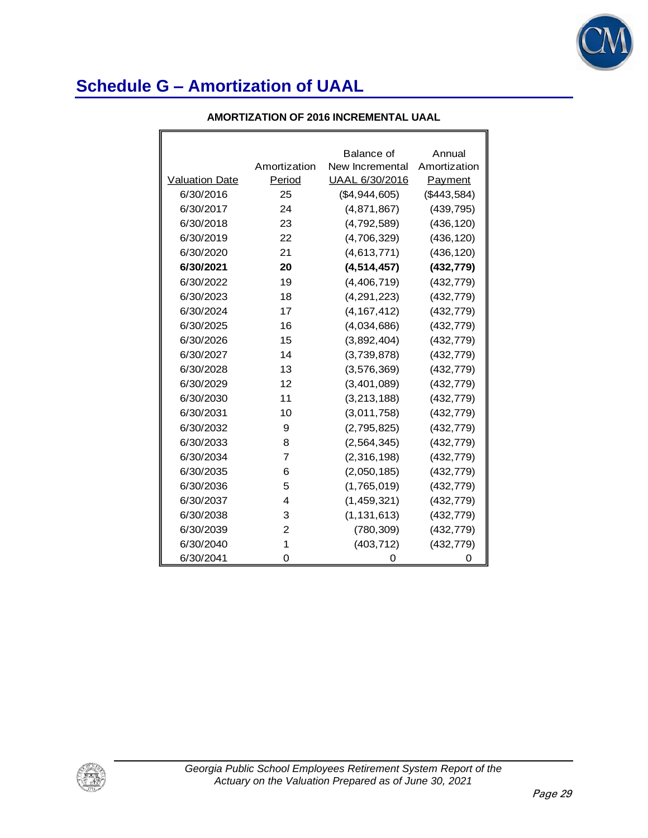

F

|  | AMORTIZATION OF 2016 INCREMENTAL UAAL |
|--|---------------------------------------|
|--|---------------------------------------|

|                       |                | Balance of      | Annual       |
|-----------------------|----------------|-----------------|--------------|
|                       | Amortization   | New Incremental | Amortization |
| <b>Valuation Date</b> | Period         | UAAL 6/30/2016  | Payment      |
| 6/30/2016             | 25             | (\$4,944,605)   | (\$443,584)  |
| 6/30/2017             | 24             | (4,871,867)     | (439, 795)   |
| 6/30/2018             | 23             | (4,792,589)     | (436, 120)   |
| 6/30/2019             | 22             | (4,706,329)     | (436, 120)   |
| 6/30/2020             | 21             | (4, 613, 771)   | (436, 120)   |
| 6/30/2021             | 20             | (4, 514, 457)   | (432, 779)   |
| 6/30/2022             | 19             | (4, 406, 719)   | (432, 779)   |
| 6/30/2023             | 18             | (4, 291, 223)   | (432, 779)   |
| 6/30/2024             | 17             | (4, 167, 412)   | (432, 779)   |
| 6/30/2025             | 16             | (4,034,686)     | (432, 779)   |
| 6/30/2026             | 15             | (3,892,404)     | (432, 779)   |
| 6/30/2027             | 14             | (3,739,878)     | (432, 779)   |
| 6/30/2028             | 13             | (3, 576, 369)   | (432, 779)   |
| 6/30/2029             | 12             | (3,401,089)     | (432, 779)   |
| 6/30/2030             | 11             | (3, 213, 188)   | (432, 779)   |
| 6/30/2031             | 10             | (3,011,758)     | (432, 779)   |
| 6/30/2032             | 9              | (2,795,825)     | (432, 779)   |
| 6/30/2033             | 8              | (2, 564, 345)   | (432, 779)   |
| 6/30/2034             | $\overline{7}$ | (2,316,198)     | (432, 779)   |
| 6/30/2035             | 6              | (2,050,185)     | (432, 779)   |
| 6/30/2036             | 5              | (1,765,019)     | (432, 779)   |
| 6/30/2037             | $\overline{4}$ | (1, 459, 321)   | (432, 779)   |
| 6/30/2038             | 3              | (1, 131, 613)   | (432, 779)   |
| 6/30/2039             | 2              | (780, 309)      | (432, 779)   |
| 6/30/2040             | 1              | (403, 712)      | (432, 779)   |
| 6/30/2041             | 0              | 0               | 0            |

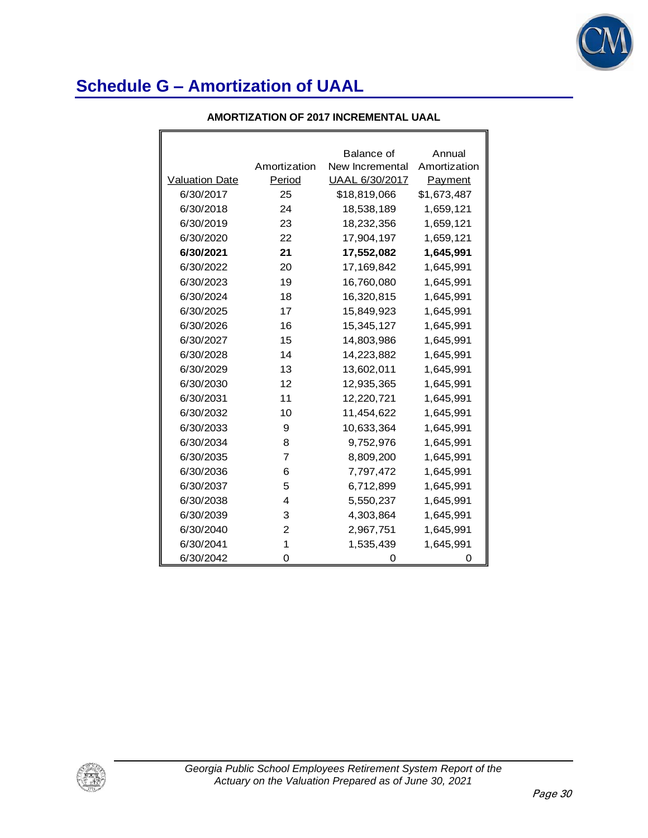

| AMORTIZATION OF 2017 INCREMENTAL UAAL |  |
|---------------------------------------|--|
|---------------------------------------|--|

|                       |              | Balance of      | Annual       |
|-----------------------|--------------|-----------------|--------------|
|                       | Amortization | New Incremental | Amortization |
| <b>Valuation Date</b> | Period       | UAAL 6/30/2017  | Payment      |
| 6/30/2017             | 25           | \$18,819,066    | \$1,673,487  |
| 6/30/2018             | 24           | 18,538,189      | 1,659,121    |
| 6/30/2019             | 23           | 18,232,356      | 1,659,121    |
| 6/30/2020             | 22           | 17,904,197      | 1,659,121    |
| 6/30/2021             | 21           | 17,552,082      | 1,645,991    |
| 6/30/2022             | 20           | 17,169,842      | 1,645,991    |
| 6/30/2023             | 19           | 16,760,080      | 1,645,991    |
| 6/30/2024             | 18           | 16,320,815      | 1,645,991    |
| 6/30/2025             | 17           | 15,849,923      | 1,645,991    |
| 6/30/2026             | 16           | 15,345,127      | 1,645,991    |
| 6/30/2027             | 15           | 14,803,986      | 1,645,991    |
| 6/30/2028             | 14           | 14,223,882      | 1,645,991    |
| 6/30/2029             | 13           | 13,602,011      | 1,645,991    |
| 6/30/2030             | 12           | 12,935,365      | 1,645,991    |
| 6/30/2031             | 11           | 12,220,721      | 1,645,991    |
| 6/30/2032             | 10           | 11,454,622      | 1,645,991    |
| 6/30/2033             | 9            | 10,633,364      | 1,645,991    |
| 6/30/2034             | 8            | 9,752,976       | 1,645,991    |
| 6/30/2035             | 7            | 8,809,200       | 1,645,991    |
| 6/30/2036             | 6            | 7,797,472       | 1,645,991    |
| 6/30/2037             | 5            | 6,712,899       | 1,645,991    |
| 6/30/2038             | 4            | 5,550,237       | 1,645,991    |
| 6/30/2039             | 3            | 4,303,864       | 1,645,991    |
| 6/30/2040             | 2            | 2,967,751       | 1,645,991    |
| 6/30/2041             | 1            | 1,535,439       | 1,645,991    |
| 6/30/2042             | 0            | O               | Ω            |

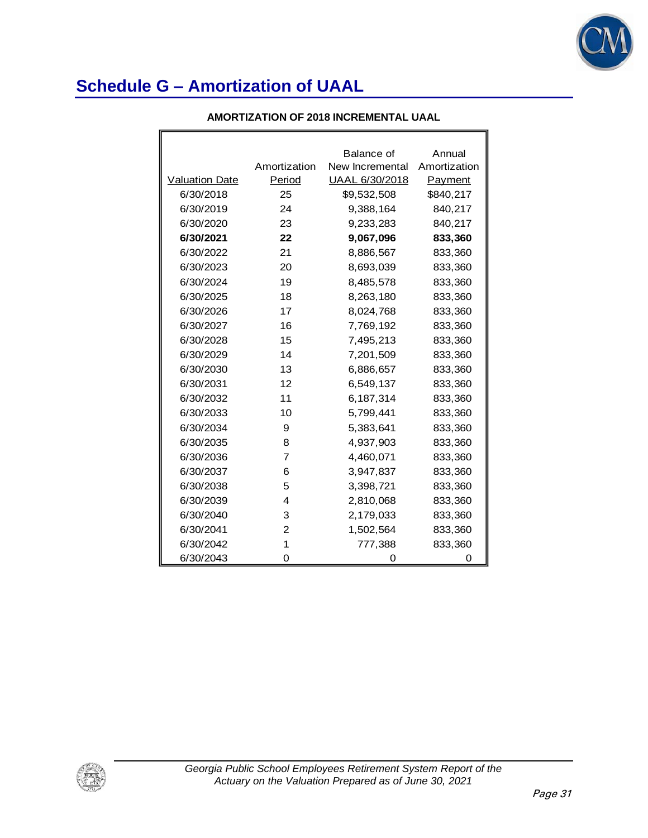

| AMORTIZATION OF 2018 INCREMENTAL UAAL |  |
|---------------------------------------|--|
|---------------------------------------|--|

|                       |                | Balance of      | Annual       |
|-----------------------|----------------|-----------------|--------------|
|                       | Amortization   | New Incremental | Amortization |
| <b>Valuation Date</b> | Period         | UAAL 6/30/2018  | Payment      |
| 6/30/2018             | 25             | \$9,532,508     | \$840,217    |
| 6/30/2019             | 24             | 9,388,164       | 840,217      |
| 6/30/2020             | 23             | 9,233,283       | 840,217      |
| 6/30/2021             | 22             | 9,067,096       | 833,360      |
| 6/30/2022             | 21             | 8,886,567       | 833,360      |
| 6/30/2023             | 20             | 8,693,039       | 833,360      |
| 6/30/2024             | 19             | 8,485,578       | 833,360      |
| 6/30/2025             | 18             | 8,263,180       | 833,360      |
| 6/30/2026             | 17             | 8,024,768       | 833,360      |
| 6/30/2027             | 16             | 7,769,192       | 833,360      |
| 6/30/2028             | 15             | 7,495,213       | 833,360      |
| 6/30/2029             | 14             | 7,201,509       | 833,360      |
| 6/30/2030             | 13             | 6,886,657       | 833,360      |
| 6/30/2031             | 12             | 6,549,137       | 833,360      |
| 6/30/2032             | 11             | 6,187,314       | 833,360      |
| 6/30/2033             | 10             | 5,799,441       | 833,360      |
| 6/30/2034             | 9              | 5,383,641       | 833,360      |
| 6/30/2035             | 8              | 4,937,903       | 833,360      |
| 6/30/2036             | 7              | 4,460,071       | 833,360      |
| 6/30/2037             | 6              | 3,947,837       | 833,360      |
| 6/30/2038             | 5              | 3,398,721       | 833,360      |
| 6/30/2039             | 4              | 2,810,068       | 833,360      |
| 6/30/2040             | 3              | 2,179,033       | 833,360      |
| 6/30/2041             | $\overline{2}$ | 1,502,564       | 833,360      |
| 6/30/2042             | 1              | 777,388         | 833,360      |
| 6/30/2043             | 0              | O               | O            |

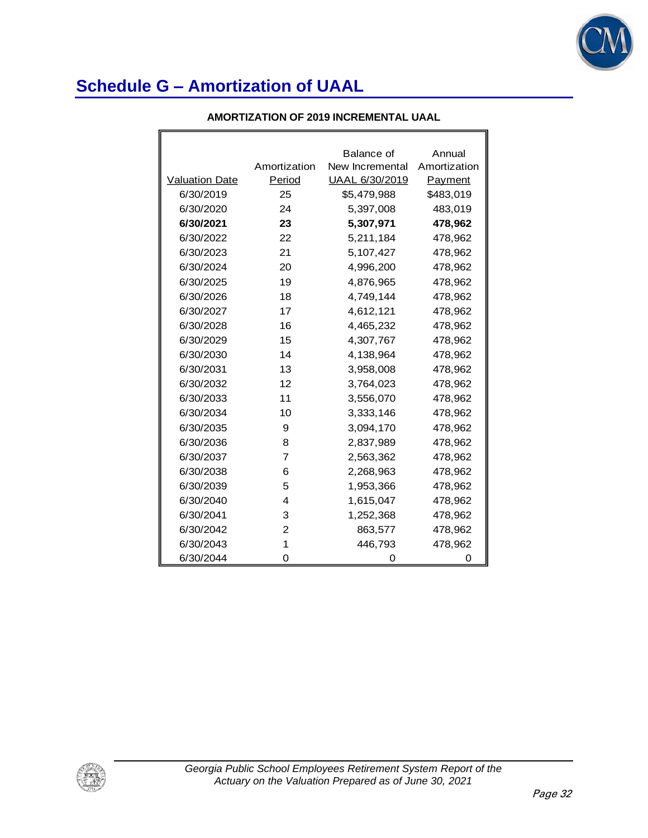

|                       |              | Balance of      | Annual       |
|-----------------------|--------------|-----------------|--------------|
|                       | Amortization | New Incremental | Amortization |
| <b>Valuation Date</b> | Period       | UAAL 6/30/2019  | Payment      |
| 6/30/2019             | 25           | \$5,479,988     | \$483,019    |
| 6/30/2020             | 24           | 5,397,008       | 483,019      |
| 6/30/2021             | 23           | 5,307,971       | 478,962      |
| 6/30/2022             | 22           | 5,211,184       | 478,962      |
| 6/30/2023             | 21           | 5,107,427       | 478,962      |
| 6/30/2024             | 20           | 4,996,200       | 478,962      |
| 6/30/2025             | 19           | 4,876,965       | 478,962      |
| 6/30/2026             | 18           | 4,749,144       | 478,962      |
| 6/30/2027             | 17           | 4,612,121       | 478,962      |
| 6/30/2028             | 16           | 4,465,232       | 478,962      |
| 6/30/2029             | 15           | 4,307,767       | 478,962      |
| 6/30/2030             | 14           | 4,138,964       | 478,962      |
| 6/30/2031             | 13           | 3,958,008       | 478,962      |
| 6/30/2032             | 12           | 3,764,023       | 478,962      |
| 6/30/2033             | 11           | 3,556,070       | 478,962      |
| 6/30/2034             | 10           | 3,333,146       | 478,962      |
| 6/30/2035             | 9            | 3,094,170       | 478,962      |
| 6/30/2036             | 8            | 2,837,989       | 478,962      |
| 6/30/2037             | 7            | 2,563,362       | 478,962      |
| 6/30/2038             | 6            | 2,268,963       | 478,962      |
| 6/30/2039             | 5            | 1,953,366       | 478,962      |
| 6/30/2040             | 4            | 1,615,047       | 478,962      |
| 6/30/2041             | 3            | 1,252,368       | 478,962      |
| 6/30/2042             | 2            | 863,577         | 478,962      |
| 6/30/2043             | 1            | 446,793         | 478,962      |
| 6/30/2044             | O            |                 |              |

#### **AMORTIZATION OF 2019 INCREMENTAL UAAL**

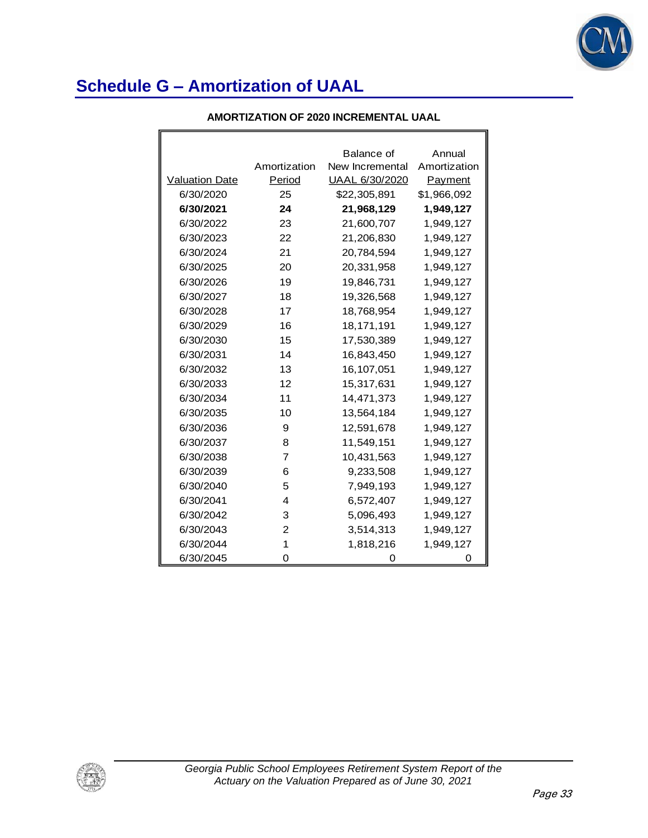

 $\mathbf{r}$ 

| AMORTIZATION OF 2020 INCREMENTAL UAAL |
|---------------------------------------|
|                                       |

|                       |                | Balance of      | Annual       |
|-----------------------|----------------|-----------------|--------------|
|                       | Amortization   | New Incremental | Amortization |
| <b>Valuation Date</b> | Period         | UAAL 6/30/2020  | Payment      |
| 6/30/2020             | 25             | \$22,305,891    | \$1,966,092  |
| 6/30/2021             | 24             | 21,968,129      | 1,949,127    |
| 6/30/2022             | 23             | 21,600,707      | 1,949,127    |
| 6/30/2023             | 22             | 21,206,830      | 1,949,127    |
| 6/30/2024             | 21             | 20,784,594      | 1,949,127    |
| 6/30/2025             | 20             | 20,331,958      | 1,949,127    |
| 6/30/2026             | 19             | 19,846,731      | 1,949,127    |
| 6/30/2027             | 18             | 19,326,568      | 1,949,127    |
| 6/30/2028             | 17             | 18,768,954      | 1,949,127    |
| 6/30/2029             | 16             | 18,171,191      | 1,949,127    |
| 6/30/2030             | 15             | 17,530,389      | 1,949,127    |
| 6/30/2031             | 14             | 16,843,450      | 1,949,127    |
| 6/30/2032             | 13             | 16,107,051      | 1,949,127    |
| 6/30/2033             | 12             | 15,317,631      | 1,949,127    |
| 6/30/2034             | 11             | 14,471,373      | 1,949,127    |
| 6/30/2035             | 10             | 13,564,184      | 1,949,127    |
| 6/30/2036             | 9              | 12,591,678      | 1,949,127    |
| 6/30/2037             | 8              | 11,549,151      | 1,949,127    |
| 6/30/2038             | $\overline{7}$ | 10,431,563      | 1,949,127    |
| 6/30/2039             | 6              | 9,233,508       | 1,949,127    |
| 6/30/2040             | 5              | 7,949,193       | 1,949,127    |
| 6/30/2041             | 4              | 6,572,407       | 1,949,127    |
| 6/30/2042             | 3              | 5,096,493       | 1,949,127    |
| 6/30/2043             | $\overline{2}$ | 3,514,313       | 1,949,127    |
| 6/30/2044             | 1              | 1,818,216       | 1,949,127    |
| 6/30/2045             | Ω              | O               | O            |

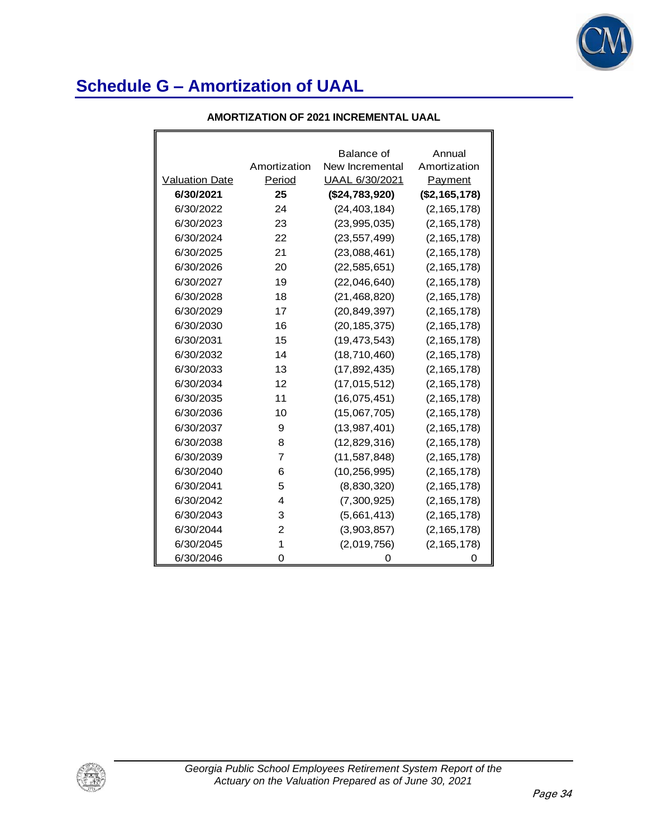

|                       |                | Balance of      | Annual         |
|-----------------------|----------------|-----------------|----------------|
|                       | Amortization   | New Incremental | Amortization   |
| <b>Valuation Date</b> | Period         | UAAL 6/30/2021  | <b>Payment</b> |
| 6/30/2021             | 25             | (\$24,783,920)  | (\$2,165,178)  |
| 6/30/2022             | 24             | (24, 403, 184)  | (2, 165, 178)  |
| 6/30/2023             | 23             | (23, 995, 035)  | (2, 165, 178)  |
| 6/30/2024             | 22             | (23, 557, 499)  | (2, 165, 178)  |
| 6/30/2025             | 21             | (23,088,461)    | (2, 165, 178)  |
| 6/30/2026             | 20             | (22, 585, 651)  | (2, 165, 178)  |
| 6/30/2027             | 19             | (22,046,640)    | (2, 165, 178)  |
| 6/30/2028             | 18             | (21, 468, 820)  | (2, 165, 178)  |
| 6/30/2029             | 17             | (20, 849, 397)  | (2, 165, 178)  |
| 6/30/2030             | 16             | (20, 185, 375)  | (2, 165, 178)  |
| 6/30/2031             | 15             | (19, 473, 543)  | (2, 165, 178)  |
| 6/30/2032             | 14             | (18, 710, 460)  | (2, 165, 178)  |
| 6/30/2033             | 13             | (17, 892, 435)  | (2, 165, 178)  |
| 6/30/2034             | 12             | (17, 015, 512)  | (2, 165, 178)  |
| 6/30/2035             | 11             | (16,075,451)    | (2, 165, 178)  |
| 6/30/2036             | 10             | (15,067,705)    | (2, 165, 178)  |
| 6/30/2037             | 9              | (13,987,401)    | (2, 165, 178)  |
| 6/30/2038             | 8              | (12, 829, 316)  | (2, 165, 178)  |
| 6/30/2039             | 7              | (11, 587, 848)  | (2, 165, 178)  |
| 6/30/2040             | 6              | (10, 256, 995)  | (2, 165, 178)  |
| 6/30/2041             | 5              | (8,830,320)     | (2, 165, 178)  |
| 6/30/2042             | 4              | (7,300,925)     | (2, 165, 178)  |
| 6/30/2043             | 3              | (5,661,413)     | (2, 165, 178)  |
| 6/30/2044             | $\overline{c}$ | (3,903,857)     | (2, 165, 178)  |
| 6/30/2045             | 1              | (2,019,756)     | (2, 165, 178)  |
| 6/30/2046             | 0              | 0               | 0              |

#### **AMORTIZATION OF 2021 INCREMENTAL UAAL**

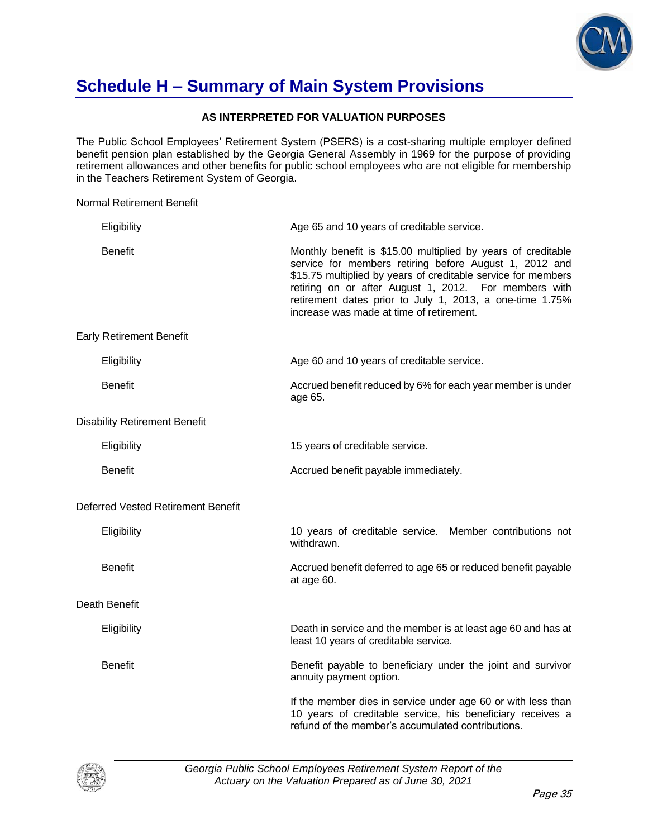

### **Schedule H – Summary of Main System Provisions**

#### **AS INTERPRETED FOR VALUATION PURPOSES**

The Public School Employees' Retirement System (PSERS) is a cost-sharing multiple employer defined benefit pension plan established by the Georgia General Assembly in 1969 for the purpose of providing retirement allowances and other benefits for public school employees who are not eligible for membership in the Teachers Retirement System of Georgia.

Normal Retirement Benefit

| Eligibility                               | Age 65 and 10 years of creditable service.                                                                                                                                                                                                                                                                                                               |
|-------------------------------------------|----------------------------------------------------------------------------------------------------------------------------------------------------------------------------------------------------------------------------------------------------------------------------------------------------------------------------------------------------------|
| <b>Benefit</b>                            | Monthly benefit is \$15.00 multiplied by years of creditable<br>service for members retiring before August 1, 2012 and<br>\$15.75 multiplied by years of creditable service for members<br>retiring on or after August 1, 2012. For members with<br>retirement dates prior to July 1, 2013, a one-time 1.75%<br>increase was made at time of retirement. |
| <b>Early Retirement Benefit</b>           |                                                                                                                                                                                                                                                                                                                                                          |
| Eligibility                               | Age 60 and 10 years of creditable service.                                                                                                                                                                                                                                                                                                               |
| <b>Benefit</b>                            | Accrued benefit reduced by 6% for each year member is under<br>age 65.                                                                                                                                                                                                                                                                                   |
| <b>Disability Retirement Benefit</b>      |                                                                                                                                                                                                                                                                                                                                                          |
| Eligibility                               | 15 years of creditable service.                                                                                                                                                                                                                                                                                                                          |
| <b>Benefit</b>                            | Accrued benefit payable immediately.                                                                                                                                                                                                                                                                                                                     |
| <b>Deferred Vested Retirement Benefit</b> |                                                                                                                                                                                                                                                                                                                                                          |
| Eligibility                               | 10 years of creditable service. Member contributions not<br>withdrawn.                                                                                                                                                                                                                                                                                   |
| <b>Benefit</b>                            | Accrued benefit deferred to age 65 or reduced benefit payable<br>at age 60.                                                                                                                                                                                                                                                                              |
| Death Benefit                             |                                                                                                                                                                                                                                                                                                                                                          |
| Eligibility                               | Death in service and the member is at least age 60 and has at<br>least 10 years of creditable service.                                                                                                                                                                                                                                                   |
| <b>Benefit</b>                            | Benefit payable to beneficiary under the joint and survivor<br>annuity payment option.                                                                                                                                                                                                                                                                   |
|                                           | If the member dies in service under age 60 or with less than<br>10 years of creditable service, his beneficiary receives a<br>refund of the member's accumulated contributions.                                                                                                                                                                          |

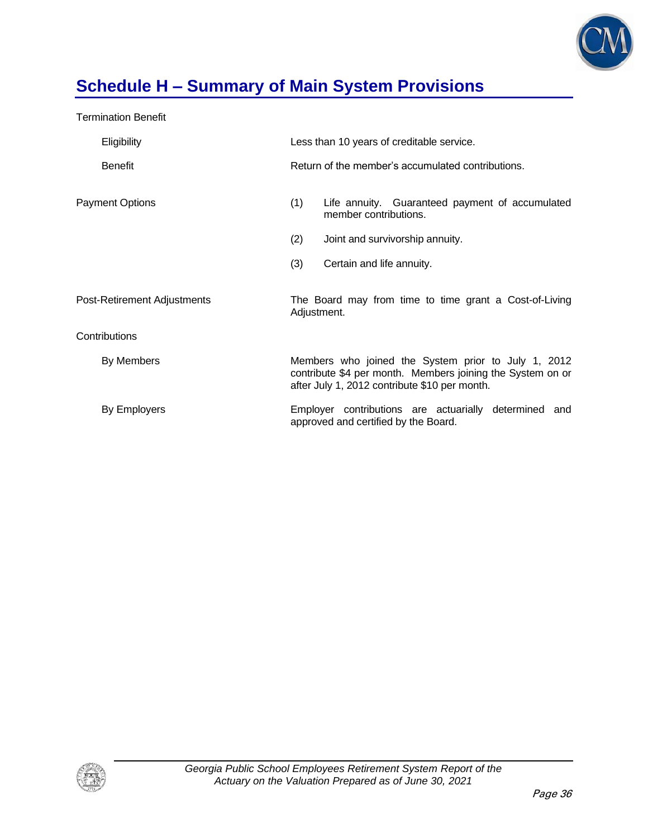

# **Schedule H – Summary of Main System Provisions**

Termination Benefit

| Eligibility                 | Less than 10 years of creditable service.                                                                                                                          |  |  |  |
|-----------------------------|--------------------------------------------------------------------------------------------------------------------------------------------------------------------|--|--|--|
| <b>Benefit</b>              | Return of the member's accumulated contributions.                                                                                                                  |  |  |  |
| <b>Payment Options</b>      | (1)<br>Life annuity. Guaranteed payment of accumulated<br>member contributions.                                                                                    |  |  |  |
|                             | (2)<br>Joint and survivorship annuity.                                                                                                                             |  |  |  |
|                             | (3)<br>Certain and life annuity.                                                                                                                                   |  |  |  |
| Post-Retirement Adjustments | The Board may from time to time grant a Cost-of-Living<br>Adjustment.                                                                                              |  |  |  |
| Contributions               |                                                                                                                                                                    |  |  |  |
| By Members                  | Members who joined the System prior to July 1, 2012<br>contribute \$4 per month. Members joining the System on or<br>after July 1, 2012 contribute \$10 per month. |  |  |  |
| By Employers                | Employer contributions are actuarially determined and<br>approved and certified by the Board.                                                                      |  |  |  |

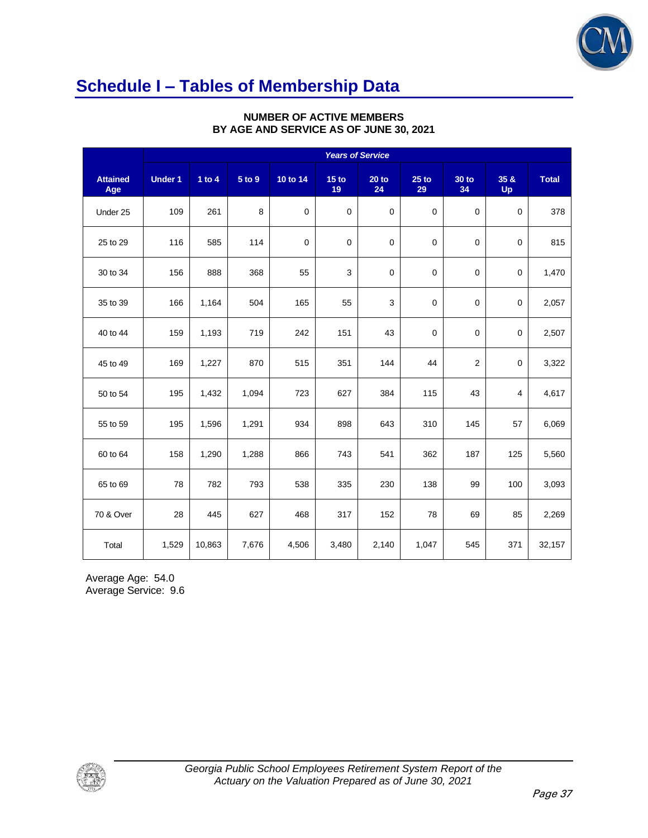

### **Schedule I – Tables of Membership Data**

|                        | <b>Years of Service</b> |          |        |             |                        |               |               |             |                |              |
|------------------------|-------------------------|----------|--------|-------------|------------------------|---------------|---------------|-------------|----------------|--------------|
| <b>Attained</b><br>Age | <b>Under 1</b>          | 1 to $4$ | 5 to 9 | 10 to 14    | 15 <sub>to</sub><br>19 | $20$ to<br>24 | $25$ to<br>29 | 30 to<br>34 | 35 &<br>Up     | <b>Total</b> |
| Under 25               | 109                     | 261      | 8      | $\mathbf 0$ | $\overline{0}$         | $\mathbf 0$   | $\mathbf 0$   | $\mathbf 0$ | $\mathbf 0$    | 378          |
| 25 to 29               | 116                     | 585      | 114    | $\mathbf 0$ | $\mathbf 0$            | $\mathbf 0$   | $\mathbf 0$   | $\mathbf 0$ | $\mathbf 0$    | 815          |
| 30 to 34               | 156                     | 888      | 368    | 55          | 3                      | $\mathbf 0$   | $\mathbf 0$   | $\mathbf 0$ | $\mathbf 0$    | 1,470        |
| 35 to 39               | 166                     | 1,164    | 504    | 165         | 55                     | $\mathsf 3$   | $\mathbf 0$   | $\mathbf 0$ | 0              | 2,057        |
| 40 to 44               | 159                     | 1,193    | 719    | 242         | 151                    | 43            | $\mathbf 0$   | 0           | $\mathbf 0$    | 2,507        |
| 45 to 49               | 169                     | 1,227    | 870    | 515         | 351                    | 144           | 44            | 2           | $\mathbf 0$    | 3,322        |
| 50 to 54               | 195                     | 1,432    | 1,094  | 723         | 627                    | 384           | 115           | 43          | $\overline{4}$ | 4,617        |
| 55 to 59               | 195                     | 1,596    | 1,291  | 934         | 898                    | 643           | 310           | 145         | 57             | 6,069        |
| 60 to 64               | 158                     | 1,290    | 1,288  | 866         | 743                    | 541           | 362           | 187         | 125            | 5,560        |
| 65 to 69               | 78                      | 782      | 793    | 538         | 335                    | 230           | 138           | 99          | 100            | 3,093        |
| 70 & Over              | 28                      | 445      | 627    | 468         | 317                    | 152           | 78            | 69          | 85             | 2,269        |
| Total                  | 1,529                   | 10,863   | 7,676  | 4,506       | 3,480                  | 2,140         | 1,047         | 545         | 371            | 32,157       |

#### **NUMBER OF ACTIVE MEMBERS BY AGE AND SERVICE AS OF JUNE 30, 2021**

Average Age: 54.0 Average Service: 9.6

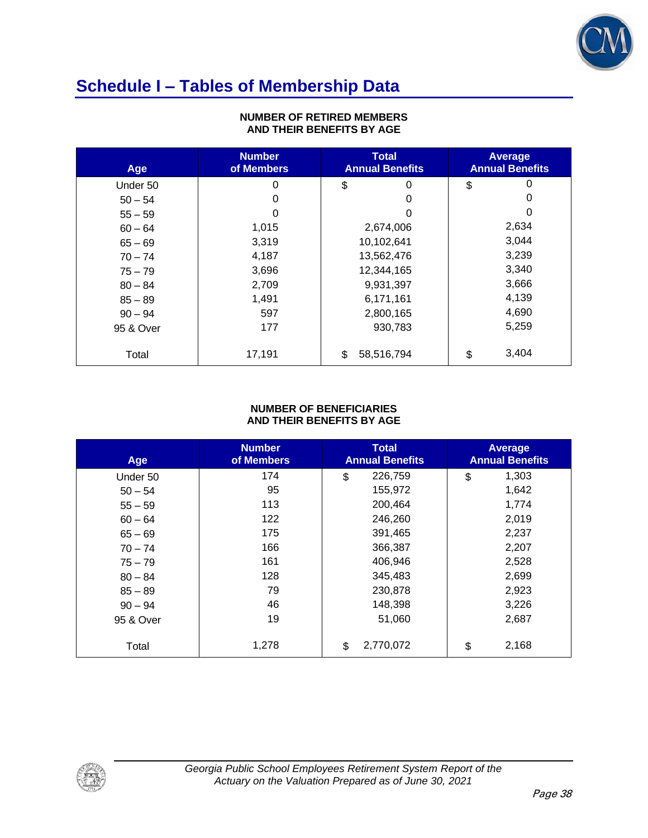

### **Schedule I – Tables of Membership Data**

| Age       | <b>Number</b><br>of Members | <b>Total</b><br><b>Annual Benefits</b> | <b>Average</b><br><b>Annual Benefits</b> |
|-----------|-----------------------------|----------------------------------------|------------------------------------------|
| Under 50  | 0                           | \$<br>0                                | 0<br>\$                                  |
| $50 - 54$ | 0                           | 0                                      | 0                                        |
| $55 - 59$ | 0                           | 0                                      | 0                                        |
| $60 - 64$ | 1,015                       | 2,674,006                              | 2,634                                    |
| $65 - 69$ | 3,319                       | 10,102,641                             | 3,044                                    |
| $70 - 74$ | 4,187                       | 13,562,476                             | 3,239                                    |
| $75 - 79$ | 3,696                       | 12,344,165                             | 3,340                                    |
| $80 - 84$ | 2,709                       | 9,931,397                              | 3,666                                    |
| $85 - 89$ | 1,491                       | 6,171,161                              | 4,139                                    |
| $90 - 94$ | 597                         | 2,800,165                              | 4,690                                    |
| 95 & Over | 177                         | 930,783                                | 5,259                                    |
| Total     | 17,191                      | 58,516,794<br>\$                       | 3,404<br>\$                              |

#### **NUMBER OF RETIRED MEMBERS AND THEIR BENEFITS BY AGE**

#### **NUMBER OF BENEFICIARIES AND THEIR BENEFITS BY AGE**

| Age       | <b>Number</b><br>of Members | <b>Total</b><br><b>Annual Benefits</b> | <b>Average</b><br><b>Annual Benefits</b> |
|-----------|-----------------------------|----------------------------------------|------------------------------------------|
| Under 50  | 174                         | \$<br>226,759                          | \$<br>1,303                              |
| $50 - 54$ | 95                          | 155,972                                | 1,642                                    |
| $55 - 59$ | 113                         | 200,464                                | 1,774                                    |
| $60 - 64$ | 122                         | 246,260                                | 2,019                                    |
| $65 - 69$ | 175                         | 391,465                                | 2,237                                    |
| $70 - 74$ | 166                         | 366,387                                | 2,207                                    |
| $75 - 79$ | 161                         | 406,946                                | 2,528                                    |
| $80 - 84$ | 128                         | 345,483                                | 2,699                                    |
| $85 - 89$ | 79                          | 230,878                                | 2,923                                    |
| $90 - 94$ | 46                          | 148,398                                | 3,226                                    |
| 95 & Over | 19                          | 51,060                                 | 2,687                                    |
| Total     | 1,278                       | 2,770,072<br>\$                        | 2,168<br>\$                              |

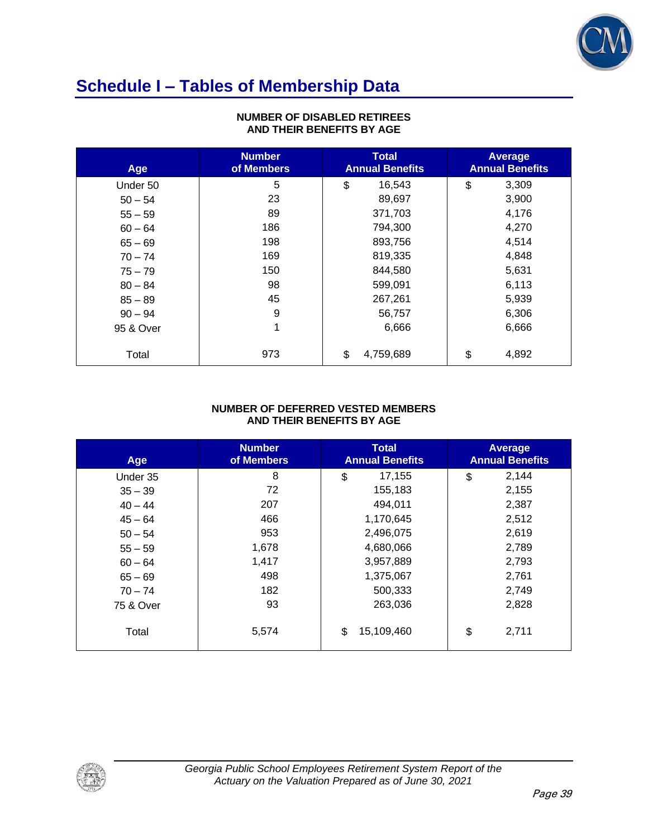

# **Schedule I – Tables of Membership Data**

| Age       | <b>Number</b><br>of Members | <b>Total</b><br><b>Annual Benefits</b> | <b>Average</b><br><b>Annual Benefits</b> |
|-----------|-----------------------------|----------------------------------------|------------------------------------------|
| Under 50  | 5                           | 16,543<br>\$                           | 3,309<br>\$                              |
| $50 - 54$ | 23                          | 89,697                                 | 3,900                                    |
| $55 - 59$ | 89                          | 371,703                                | 4,176                                    |
| $60 - 64$ | 186                         | 794,300                                | 4,270                                    |
| $65 - 69$ | 198                         | 893,756                                | 4,514                                    |
| $70 - 74$ | 169                         | 819,335                                | 4,848                                    |
| $75 - 79$ | 150                         | 844,580                                | 5,631                                    |
| $80 - 84$ | 98                          | 599,091                                | 6,113                                    |
| $85 - 89$ | 45                          | 267,261                                | 5,939                                    |
| $90 - 94$ | 9                           | 56,757                                 | 6,306                                    |
| 95 & Over | 1                           | 6,666                                  | 6,666                                    |
| Total     | 973                         | 4,759,689<br>\$                        | 4,892<br>\$                              |

#### **NUMBER OF DISABLED RETIREES AND THEIR BENEFITS BY AGE**

#### **NUMBER OF DEFERRED VESTED MEMBERS AND THEIR BENEFITS BY AGE**

| Age       | <b>Number</b><br>of Members | <b>Total</b><br><b>Annual Benefits</b> | <b>Average</b><br><b>Annual Benefits</b> |
|-----------|-----------------------------|----------------------------------------|------------------------------------------|
| Under 35  | 8                           | \$<br>17,155                           | 2,144<br>\$                              |
| $35 - 39$ | 72                          | 155,183                                | 2,155                                    |
| $40 - 44$ | 207                         | 494,011                                | 2,387                                    |
| $45 - 64$ | 466                         | 1,170,645                              | 2,512                                    |
| $50 - 54$ | 953                         | 2,496,075                              | 2,619                                    |
| $55 - 59$ | 1,678                       | 4,680,066                              | 2,789                                    |
| $60 - 64$ | 1,417                       | 3,957,889                              | 2,793                                    |
| $65 - 69$ | 498                         | 1,375,067                              | 2,761                                    |
| $70 - 74$ | 182                         | 500,333                                | 2,749                                    |
| 75 & Over | 93                          | 263,036                                | 2,828                                    |
| Total     | 5,574                       | 15,109,460<br>\$                       | 2,711<br>\$                              |

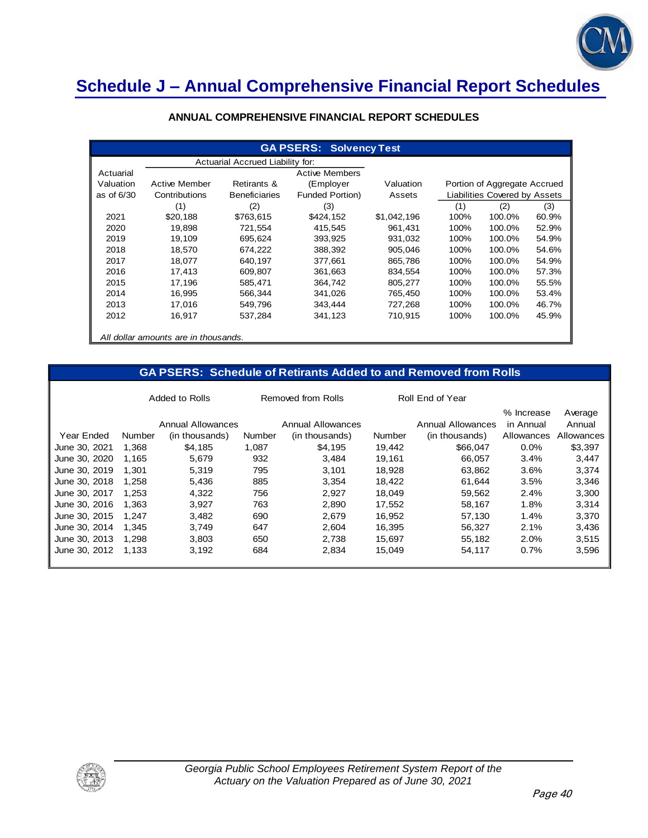

# **Schedule J – Annual Comprehensive Financial Report Schedules**

|            | <b>GA PSERS: Solvency Test</b>       |                                  |                        |             |      |                               |       |
|------------|--------------------------------------|----------------------------------|------------------------|-------------|------|-------------------------------|-------|
|            |                                      | Actuarial Accrued Liability for: |                        |             |      |                               |       |
| Actuarial  |                                      |                                  | <b>Active Members</b>  |             |      |                               |       |
| Valuation  | <b>Active Member</b>                 | Retirants &                      | (Employer              | Valuation   |      | Portion of Aggregate Accrued  |       |
| as of 6/30 | Contributions                        | <b>Beneficiaries</b>             | <b>Funded Portion)</b> | Assets      |      | Liabilities Covered by Assets |       |
|            | (1)                                  | (2)                              | (3)                    |             | (1)  | (2)                           | (3)   |
| 2021       | \$20,188                             | \$763,615                        | \$424,152              | \$1,042,196 | 100% | 100.0%                        | 60.9% |
| 2020       | 19,898                               | 721,554                          | 415,545                | 961.431     | 100% | 100.0%                        | 52.9% |
| 2019       | 19,109                               | 695,624                          | 393,925                | 931,032     | 100% | 100.0%                        | 54.9% |
| 2018       | 18,570                               | 674,222                          | 388,392                | 905,046     | 100% | 100.0%                        | 54.6% |
| 2017       | 18,077                               | 640,197                          | 377,661                | 865,786     | 100% | 100.0%                        | 54.9% |
| 2016       | 17,413                               | 609,807                          | 361,663                | 834,554     | 100% | 100.0%                        | 57.3% |
| 2015       | 17.196                               | 585.471                          | 364.742                | 805.277     | 100% | 100.0%                        | 55.5% |
| 2014       | 16,995                               | 566,344                          | 341,026                | 765.450     | 100% | 100.0%                        | 53.4% |
| 2013       | 17,016                               | 549,796                          | 343,444                | 727,268     | 100% | 100.0%                        | 46.7% |
| 2012       | 16,917                               | 537,284                          | 341,123                | 710,915     | 100% | 100.0%                        | 45.9% |
|            | All dollar amounts are in thousands. |                                  |                        |             |      |                               |       |

#### **ANNUAL COMPREHENSIVE FINANCIAL REPORT SCHEDULES**

#### **GA PSERS: Schedule of Retirants Added to and Removed from Rolls**

|               |        | Added to Rolls                      | Removed from Rolls |                                     | Roll End of Year |                                     |                                       |                                 |
|---------------|--------|-------------------------------------|--------------------|-------------------------------------|------------------|-------------------------------------|---------------------------------------|---------------------------------|
| Year Ended    | Number | Annual Allowances<br>(in thousands) | Number             | Annual Allowances<br>(in thousands) | Number           | Annual Allowances<br>(in thousands) | % Increase<br>in Annual<br>Allowances | Average<br>Annual<br>Allowances |
| June 30, 2021 | 1.368  | \$4.185                             | 1.087              | \$4,195                             | 19,442           | \$66,047                            | $0.0\%$                               | \$3,397                         |
| June 30, 2020 | 1.165  | 5,679                               | 932                | 3,484                               | 19,161           | 66.057                              | 3.4%                                  | 3,447                           |
| June 30, 2019 | 1.301  | 5,319                               | 795                | 3,101                               | 18,928           | 63,862                              | 3.6%                                  | 3,374                           |
| June 30, 2018 | 1.258  | 5.436                               | 885                | 3,354                               | 18.422           | 61.644                              | 3.5%                                  | 3,346                           |
| June 30, 2017 | 1.253  | 4,322                               | 756                | 2,927                               | 18,049           | 59,562                              | 2.4%                                  | 3,300                           |
| June 30, 2016 | 1.363  | 3,927                               | 763                | 2,890                               | 17,552           | 58,167                              | 1.8%                                  | 3,314                           |
| June 30, 2015 | 1.247  | 3,482                               | 690                | 2,679                               | 16,952           | 57,130                              | 1.4%                                  | 3,370                           |
| June 30, 2014 | 1.345  | 3.749                               | 647                | 2,604                               | 16,395           | 56.327                              | 2.1%                                  | 3,436                           |
| June 30, 2013 | 1.298  | 3,803                               | 650                | 2,738                               | 15.697           | 55,182                              | 2.0%                                  | 3,515                           |
| June 30, 2012 | 1.133  | 3,192                               | 684                | 2,834                               | 15,049           | 54,117                              | 0.7%                                  | 3,596                           |
|               |        |                                     |                    |                                     |                  |                                     |                                       |                                 |

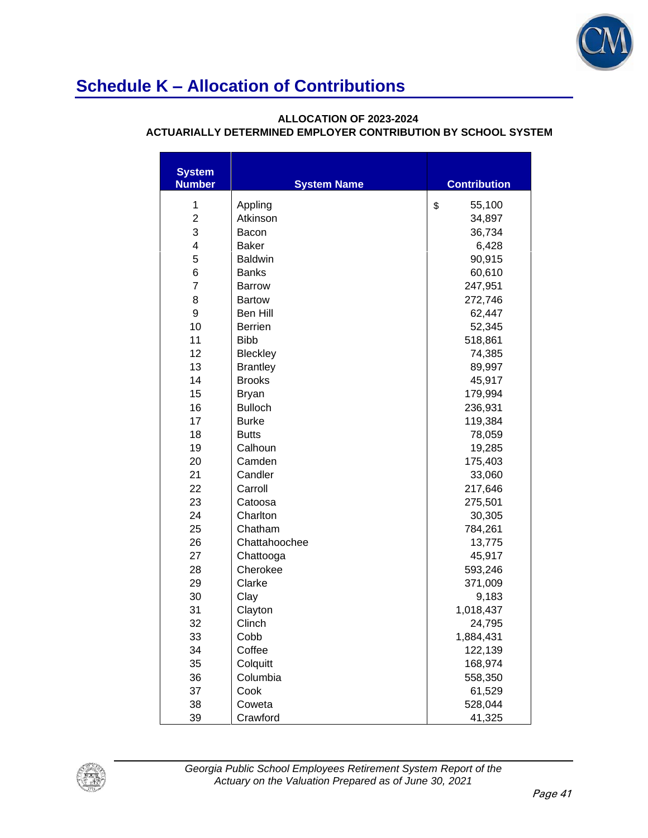

#### **ALLOCATION OF 2023-2024**

| <b>System</b><br><b>Number</b> | <b>System Name</b> | <b>Contribution</b> |
|--------------------------------|--------------------|---------------------|
| 1                              | Appling            | \$<br>55,100        |
| $\overline{2}$                 | Atkinson           | 34,897              |
| 3                              | Bacon              | 36,734              |
| 4                              | <b>Baker</b>       | 6,428               |
| 5                              | <b>Baldwin</b>     | 90,915              |
| 6                              | <b>Banks</b>       | 60,610              |
| $\overline{7}$                 | <b>Barrow</b>      | 247,951             |
| 8                              | <b>Bartow</b>      | 272,746             |
| 9                              | <b>Ben Hill</b>    | 62,447              |
| 10                             | <b>Berrien</b>     | 52,345              |
| 11                             | <b>Bibb</b>        | 518,861             |
| 12                             | Bleckley           | 74,385              |
| 13                             | <b>Brantley</b>    | 89,997              |
| 14                             | <b>Brooks</b>      | 45,917              |
| 15                             | <b>Bryan</b>       | 179,994             |
| 16                             | <b>Bulloch</b>     | 236,931             |
| 17                             | <b>Burke</b>       | 119,384             |
| 18                             | <b>Butts</b>       | 78,059              |
| 19                             | Calhoun            | 19,285              |
| 20                             | Camden             | 175,403             |
| 21                             | Candler            | 33,060              |
| 22                             | Carroll            | 217,646             |
| 23                             | Catoosa            | 275,501             |
| 24                             | Charlton           | 30,305              |
| 25                             | Chatham            | 784,261             |
| 26                             | Chattahoochee      | 13,775              |
| 27                             | Chattooga          | 45,917              |
| 28                             | Cherokee           | 593,246             |
| 29                             | Clarke             | 371,009             |
| 30                             | Clay               | 9,183               |
| 31                             | Clayton            | 1,018,437           |
| 32                             | Clinch             | 24,795              |
| 33                             | Cobb               | 1,884,431           |
| 34                             | Coffee             | 122,139             |
| 35                             | Colquitt           | 168,974             |
| 36                             | Columbia           | 558,350             |
| 37                             | Cook               | 61,529              |
| 38                             | Coweta             | 528,044             |
| 39                             | Crawford           | 41,325              |

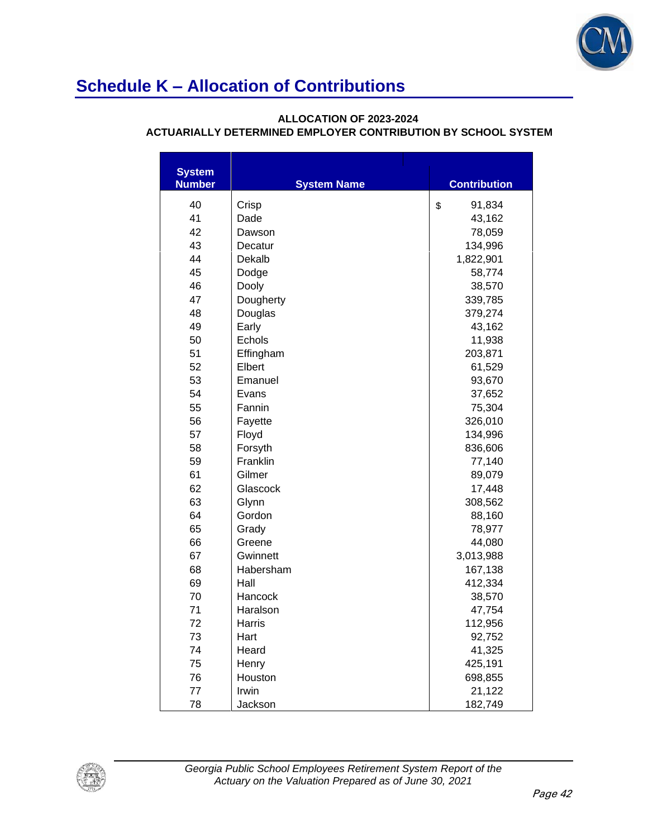

#### **ALLOCATION OF 2023-2024**

| <b>System</b> |                    |                     |
|---------------|--------------------|---------------------|
| <b>Number</b> | <b>System Name</b> | <b>Contribution</b> |
| 40            | Crisp              | \$<br>91,834        |
| 41            | Dade               | 43,162              |
| 42            | Dawson             | 78,059              |
| 43            | Decatur            | 134,996             |
| 44            | Dekalb             | 1,822,901           |
| 45            | Dodge              | 58,774              |
| 46            | Dooly              | 38,570              |
| 47            | Dougherty          | 339,785             |
| 48            | Douglas            | 379,274             |
| 49            | Early              | 43,162              |
| 50            | Echols             | 11,938              |
| 51            | Effingham          | 203,871             |
| 52            | Elbert             | 61,529              |
| 53            | Emanuel            | 93,670              |
| 54            | Evans              | 37,652              |
| 55            | Fannin             | 75,304              |
| 56            | Fayette            | 326,010             |
| 57            | Floyd              | 134,996             |
| 58            | Forsyth            | 836,606             |
| 59            | Franklin           | 77,140              |
| 61            | Gilmer             | 89,079              |
| 62            | Glascock           | 17,448              |
| 63            | Glynn              | 308,562             |
| 64            | Gordon             | 88,160              |
| 65            | Grady              | 78,977              |
| 66            | Greene             | 44,080              |
| 67            | Gwinnett           | 3,013,988           |
| 68            | Habersham          | 167,138             |
| 69            | Hall               | 412,334             |
| 70            | Hancock            | 38,570              |
| 71            | Haralson           | 47,754              |
| 72            | Harris             | 112,956             |
| 73            | Hart               | 92,752              |
| 74            | Heard              | 41,325              |
| 75            | Henry              | 425,191             |
| 76            | Houston            | 698,855             |
| 77            | Irwin              | 21,122              |
| 78            | Jackson            | 182,749             |

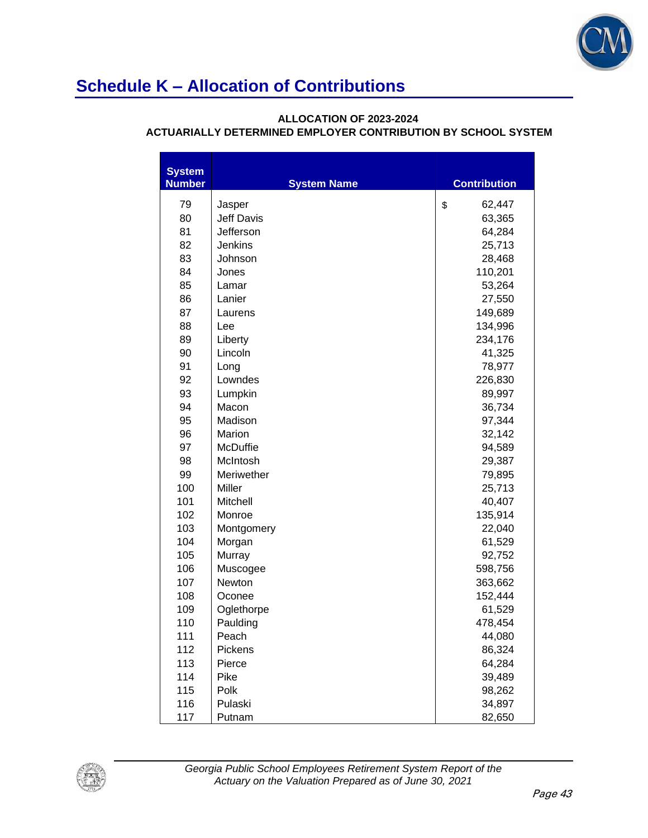

#### **ALLOCATION OF 2023-2024**

| <b>System</b><br><b>Number</b> | <b>System Name</b> | <b>Contribution</b> |
|--------------------------------|--------------------|---------------------|
| 79                             | Jasper             | \$<br>62,447        |
| 80                             | <b>Jeff Davis</b>  | 63,365              |
| 81                             | Jefferson          | 64,284              |
| 82                             | Jenkins            | 25,713              |
| 83                             | Johnson            | 28,468              |
| 84                             | Jones              | 110,201             |
| 85                             | Lamar              | 53,264              |
| 86                             | Lanier             | 27,550              |
| 87                             | Laurens            | 149,689             |
| 88                             | Lee                | 134,996             |
| 89                             | Liberty            | 234,176             |
| 90                             | Lincoln            | 41,325              |
| 91                             | Long               | 78,977              |
| 92                             | Lowndes            | 226,830             |
| 93                             | Lumpkin            | 89,997              |
| 94                             | Macon              | 36,734              |
| 95                             | Madison            | 97,344              |
| 96                             | Marion             | 32,142              |
| 97                             | McDuffie           | 94,589              |
| 98                             | McIntosh           | 29,387              |
| 99                             | Meriwether         | 79,895              |
| 100                            | Miller             | 25,713              |
| 101                            | Mitchell           | 40,407              |
| 102                            | Monroe             | 135,914             |
| 103                            | Montgomery         | 22,040              |
| 104                            | Morgan             | 61,529              |
| 105                            | Murray             | 92,752              |
| 106                            | Muscogee           | 598,756             |
| 107                            | Newton             | 363,662             |
| 108                            | Oconee             | 152,444             |
| 109                            | Oglethorpe         | 61,529              |
| 110                            | Paulding           | 478,454             |
| 111                            | Peach              | 44,080              |
| 112                            | Pickens            | 86,324              |
| 113                            | Pierce             | 64,284              |
| 114                            | Pike               | 39,489              |
| 115                            | Polk               | 98,262              |
| 116                            | Pulaski            | 34,897              |
| 117                            | Putnam             | 82,650              |

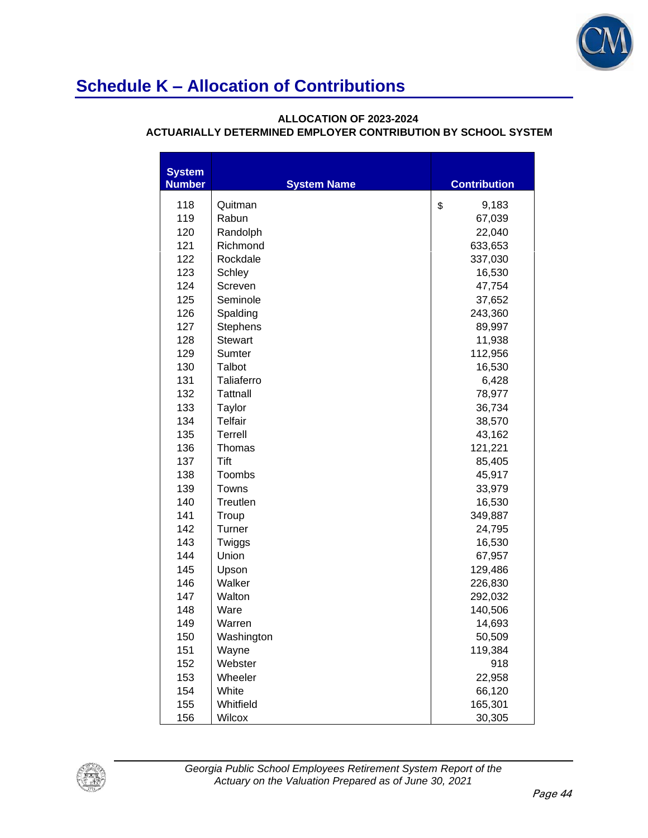

#### **ALLOCATION OF 2023-2024**

| <b>System</b><br><b>Number</b> | <b>System Name</b> | <b>Contribution</b> |
|--------------------------------|--------------------|---------------------|
| 118                            | Quitman            | 9,183<br>\$         |
| 119                            | Rabun              | 67,039              |
| 120                            | Randolph           | 22,040              |
| 121                            | Richmond           | 633,653             |
| 122                            | Rockdale           | 337,030             |
| 123                            | Schley             | 16,530              |
| 124                            | Screven            | 47,754              |
| 125                            | Seminole           | 37,652              |
| 126                            | Spalding           | 243,360             |
| 127                            | <b>Stephens</b>    | 89,997              |
| 128                            | <b>Stewart</b>     | 11,938              |
| 129                            | Sumter             | 112,956             |
| 130                            | Talbot             | 16,530              |
| 131                            | Taliaferro         | 6,428               |
| 132                            | <b>Tattnall</b>    | 78,977              |
| 133                            | Taylor             | 36,734              |
| 134                            | <b>Telfair</b>     | 38,570              |
| 135                            | Terrell            | 43,162              |
| 136                            | Thomas             | 121,221             |
| 137                            | Tift               | 85,405              |
| 138                            | Toombs             | 45,917              |
| 139                            | Towns              | 33,979              |
| 140                            | Treutlen           | 16,530              |
| 141                            | Troup              | 349,887             |
| 142                            | Turner             | 24,795              |
| 143                            | Twiggs             | 16,530              |
| 144                            | Union              | 67,957              |
| 145                            | Upson              | 129,486             |
| 146                            | Walker             | 226,830             |
| 147                            | Walton             | 292,032             |
| 148                            | Ware               | 140,506             |
| 149                            | Warren             | 14,693              |
| 150                            | Washington         | 50,509              |
| 151                            | Wayne              | 119,384             |
| 152                            | Webster            | 918                 |
| 153                            | Wheeler            | 22,958              |
| 154                            | White              | 66,120              |
| 155                            | Whitfield          | 165,301             |
| 156                            | Wilcox             | 30,305              |